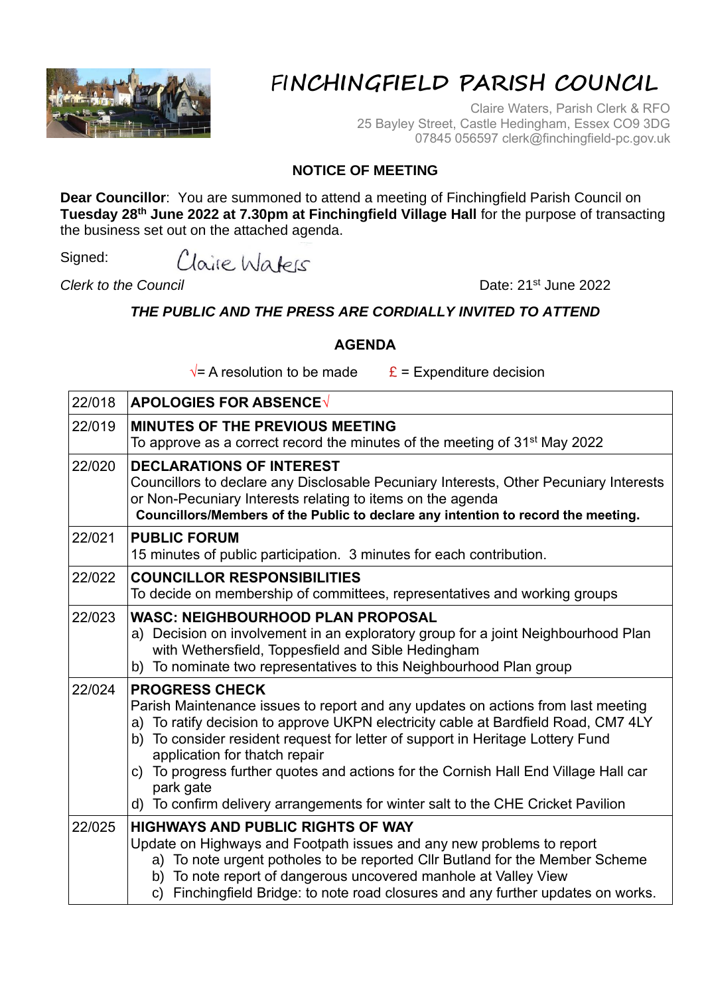

## FI**NCHINGFIELD PARISH COUNCIL**

Claire Waters, Parish Clerk & RFO 25 Bayley Street, Castle Hedingham, Essex CO9 3DG 07845 056597 clerk@finchingfield-pc.gov.uk

## **NOTICE OF MEETING**

**Dear Councillor**: You are summoned to attend a meeting of Finchingfield Parish Council on **Tuesday 28th June 2022 at 7.30pm at Finchingfield Village Hall** for the purpose of transacting the business set out on the attached agenda.

Signed: Claire Waters

**Clerk to the Council** Date: 21<sup>st</sup> June 2022

## *THE PUBLIC AND THE PRESS ARE CORDIALLY INVITED TO ATTEND*

## **AGENDA**

 $\sqrt{\ }$  A resolution to be made  $\frac{\mathbf{E}}{\mathbf{E}}$  = Expenditure decision

| 22/018 | <b>APOLOGIES FOR ABSENCE√</b>                                                                                                                                                                                                                                                                                                                                                                                                                                                                                |  |  |  |
|--------|--------------------------------------------------------------------------------------------------------------------------------------------------------------------------------------------------------------------------------------------------------------------------------------------------------------------------------------------------------------------------------------------------------------------------------------------------------------------------------------------------------------|--|--|--|
| 22/019 | <b>MINUTES OF THE PREVIOUS MEETING</b><br>To approve as a correct record the minutes of the meeting of 31 <sup>st</sup> May 2022                                                                                                                                                                                                                                                                                                                                                                             |  |  |  |
| 22/020 | <b>DECLARATIONS OF INTEREST</b><br>Councillors to declare any Disclosable Pecuniary Interests, Other Pecuniary Interests<br>or Non-Pecuniary Interests relating to items on the agenda<br>Councillors/Members of the Public to declare any intention to record the meeting.                                                                                                                                                                                                                                  |  |  |  |
| 22/021 | <b>PUBLIC FORUM</b><br>15 minutes of public participation. 3 minutes for each contribution.                                                                                                                                                                                                                                                                                                                                                                                                                  |  |  |  |
| 22/022 | <b>COUNCILLOR RESPONSIBILITIES</b><br>To decide on membership of committees, representatives and working groups                                                                                                                                                                                                                                                                                                                                                                                              |  |  |  |
| 22/023 | <b>WASC: NEIGHBOURHOOD PLAN PROPOSAL</b><br>a) Decision on involvement in an exploratory group for a joint Neighbourhood Plan<br>with Wethersfield, Toppesfield and Sible Hedingham<br>To nominate two representatives to this Neighbourhood Plan group<br>b)                                                                                                                                                                                                                                                |  |  |  |
| 22/024 | <b>PROGRESS CHECK</b><br>Parish Maintenance issues to report and any updates on actions from last meeting<br>a) To ratify decision to approve UKPN electricity cable at Bardfield Road, CM7 4LY<br>To consider resident request for letter of support in Heritage Lottery Fund<br>b)<br>application for thatch repair<br>c) To progress further quotes and actions for the Cornish Hall End Village Hall car<br>park gate<br>d) To confirm delivery arrangements for winter salt to the CHE Cricket Pavilion |  |  |  |
| 22/025 | <b>HIGHWAYS AND PUBLIC RIGHTS OF WAY</b><br>Update on Highways and Footpath issues and any new problems to report<br>a) To note urgent potholes to be reported Cllr Butland for the Member Scheme<br>b) To note report of dangerous uncovered manhole at Valley View<br>c) Finchingfield Bridge: to note road closures and any further updates on works.                                                                                                                                                     |  |  |  |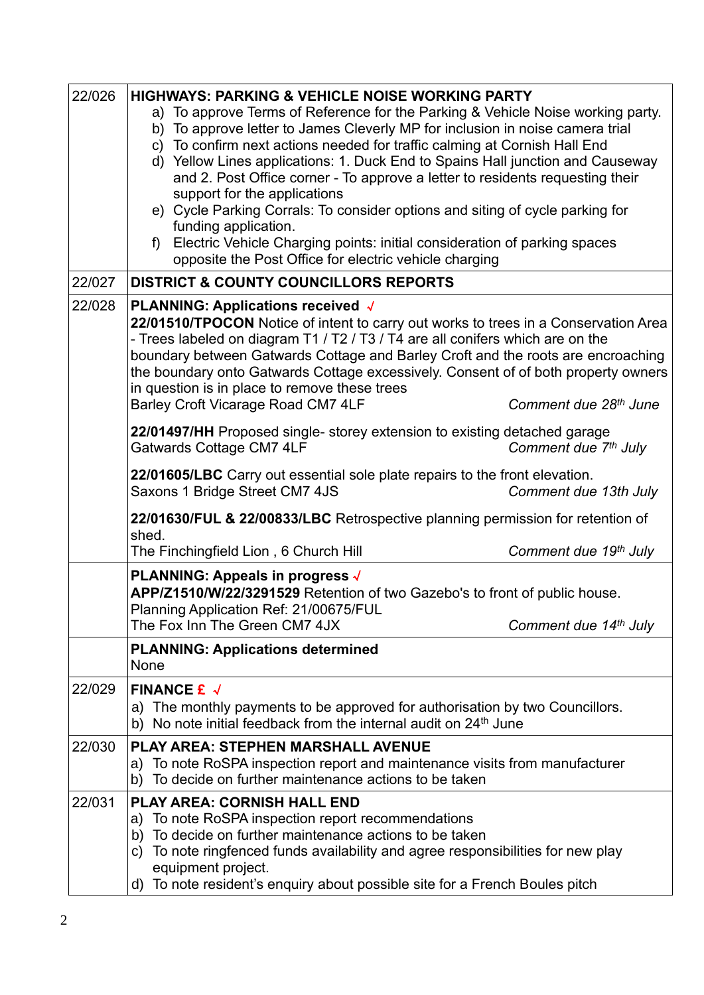| 22/026 | <b>HIGHWAYS: PARKING &amp; VEHICLE NOISE WORKING PARTY</b>                                                                                        |  |  |  |  |  |
|--------|---------------------------------------------------------------------------------------------------------------------------------------------------|--|--|--|--|--|
|        | a) To approve Terms of Reference for the Parking & Vehicle Noise working party.                                                                   |  |  |  |  |  |
|        | b) To approve letter to James Cleverly MP for inclusion in noise camera trial                                                                     |  |  |  |  |  |
|        | c) To confirm next actions needed for traffic calming at Cornish Hall End                                                                         |  |  |  |  |  |
|        | d) Yellow Lines applications: 1. Duck End to Spains Hall junction and Causeway                                                                    |  |  |  |  |  |
|        | and 2. Post Office corner - To approve a letter to residents requesting their<br>support for the applications                                     |  |  |  |  |  |
|        | e) Cycle Parking Corrals: To consider options and siting of cycle parking for                                                                     |  |  |  |  |  |
|        | funding application.                                                                                                                              |  |  |  |  |  |
|        | Electric Vehicle Charging points: initial consideration of parking spaces<br>$f$ )                                                                |  |  |  |  |  |
|        | opposite the Post Office for electric vehicle charging                                                                                            |  |  |  |  |  |
| 22/027 | <b>DISTRICT &amp; COUNTY COUNCILLORS REPORTS</b>                                                                                                  |  |  |  |  |  |
| 22/028 | PLANNING: Applications received √                                                                                                                 |  |  |  |  |  |
|        | 22/01510/TPOCON Notice of intent to carry out works to trees in a Conservation Area                                                               |  |  |  |  |  |
|        | - Trees labeled on diagram T1 / T2 / T3 / T4 are all conifers which are on the                                                                    |  |  |  |  |  |
|        | boundary between Gatwards Cottage and Barley Croft and the roots are encroaching                                                                  |  |  |  |  |  |
|        | the boundary onto Gatwards Cottage excessively. Consent of of both property owners<br>in question is in place to remove these trees               |  |  |  |  |  |
|        | Barley Croft Vicarage Road CM7 4LF<br>Comment due 28th June                                                                                       |  |  |  |  |  |
|        | 22/01497/HH Proposed single- storey extension to existing detached garage<br>Gatwards Cottage CM7 4LF<br>Comment due 7 <sup>th</sup> July         |  |  |  |  |  |
|        |                                                                                                                                                   |  |  |  |  |  |
|        | 22/01605/LBC Carry out essential sole plate repairs to the front elevation.<br>Saxons 1 Bridge Street CM7 4JS<br>Comment due 13th July            |  |  |  |  |  |
|        | 22/01630/FUL & 22/00833/LBC Retrospective planning permission for retention of<br>shed.                                                           |  |  |  |  |  |
|        | The Finchingfield Lion, 6 Church Hill<br>Comment due 19th July                                                                                    |  |  |  |  |  |
|        | PLANNING: Appeals in progress √                                                                                                                   |  |  |  |  |  |
|        | APP/Z1510/W/22/3291529 Retention of two Gazebo's to front of public house.                                                                        |  |  |  |  |  |
|        | Planning Application Ref: 21/00675/FUL                                                                                                            |  |  |  |  |  |
|        | The Fox Inn The Green CM7 4JX<br>Comment due 14th July                                                                                            |  |  |  |  |  |
|        | <b>PLANNING: Applications determined</b>                                                                                                          |  |  |  |  |  |
|        | None                                                                                                                                              |  |  |  |  |  |
| 22/029 | FINANCE $f \sqrt{}$                                                                                                                               |  |  |  |  |  |
|        | The monthly payments to be approved for authorisation by two Councillors.<br>a)                                                                   |  |  |  |  |  |
|        | No note initial feedback from the internal audit on 24 <sup>th</sup> June<br>b)                                                                   |  |  |  |  |  |
| 22/030 | <b>PLAY AREA: STEPHEN MARSHALL AVENUE</b>                                                                                                         |  |  |  |  |  |
|        | To note RoSPA inspection report and maintenance visits from manufacturer<br>a)                                                                    |  |  |  |  |  |
|        | To decide on further maintenance actions to be taken<br>b)                                                                                        |  |  |  |  |  |
| 22/031 | <b>PLAY AREA: CORNISH HALL END</b>                                                                                                                |  |  |  |  |  |
|        | To note RoSPA inspection report recommendations<br>a)                                                                                             |  |  |  |  |  |
|        | To decide on further maintenance actions to be taken<br>b)<br>To note ringfenced funds availability and agree responsibilities for new play<br>C) |  |  |  |  |  |
|        |                                                                                                                                                   |  |  |  |  |  |
|        | equipment project.<br>To note resident's enquiry about possible site for a French Boules pitch<br>d)                                              |  |  |  |  |  |
|        |                                                                                                                                                   |  |  |  |  |  |